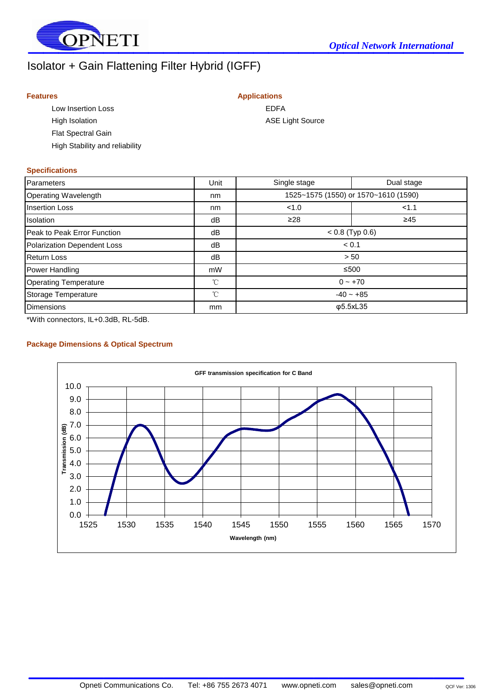

# Isolator + Gain Flattening Filter Hybrid (IGFF)

#### **Features Applications**

Low Insertion Loss **EDFA** High Isolation **ASE** Light Source Flat Spectral Gain High Stability and reliability

## **Specifications**

| Parameters                         | Unit | Single stage                         | Dual stage |
|------------------------------------|------|--------------------------------------|------------|
| Operating Wavelength               | nm   | 1525~1575 (1550) or 1570~1610 (1590) |            |
| <b>Insertion Loss</b>              | nm   | 1.0                                  | 1.1        |
| <b>Isolation</b>                   | dB   | $\geq 28$                            | $\geq 45$  |
| Peak to Peak Error Function        | dB   | $< 0.8$ (Typ 0.6)                    |            |
| <b>Polarization Dependent Loss</b> | dB   | < 0.1                                |            |
| <b>Return Loss</b>                 | dB   | > 50                                 |            |
| Power Handling                     | mW   |                                      | ≤500       |
| <b>Operating Temperature</b>       | °C   | $0 - +70$                            |            |
| Storage Temperature                | °C   | $-40 - +85$                          |            |
| <b>Dimensions</b>                  | mm   | φ5.5xL35                             |            |

\*With connectors, IL+0.3dB, RL-5dB.

#### **Package Dimensions & Optical Spectrum**



 $\mathcal{L}_\text{max}$  and  $\mathcal{L}_\text{max}$  are the set of the set of the set of the set of the set of the set of the set of the set of the set of the set of the set of the set of the set of the set of the set of the set of the set o